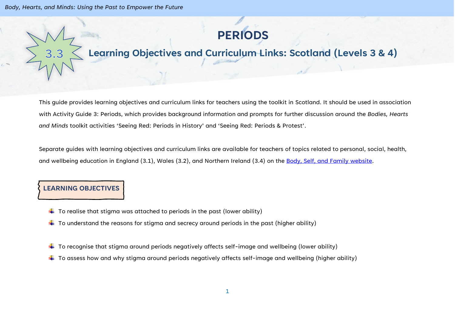

## **Learning Objectives and Curriculum Links: Scotland (Levels 3 & 4)**

This guide provides learning objectives and curriculum links for teachers using the toolkit in Scotland. It should be used in association with Activity Guide 3: Periods, which provides background information and prompts for further discussion around the *Bodies, Hearts and Minds* toolkit activities 'Seeing Red: Periods in History' and 'Seeing Red: Periods & Protest'.

Separate guides with learning objectives and curriculum links are available for teachers of topics related to personal, social, health, and wellbeing education in England (3.1), Wales (3.2), and Northern Ireland (3.4) on the [Body, Self, and Family website.](https://bodyselffamily.org/)

## **LEARNING OBJECTIVES**

- $\downarrow$  To realise that stigma was attached to periods in the past (lower ability)
- $\downarrow$  To understand the reasons for stigma and secrecy around periods in the past (higher ability)
- $\ddot{\phantom{a}}$  To recognise that stigma around periods negatively affects self-image and wellbeing (lower ability)
- $\ddotplus$  To assess how and why stigma around periods negatively affects self-image and wellbeing (higher ability)